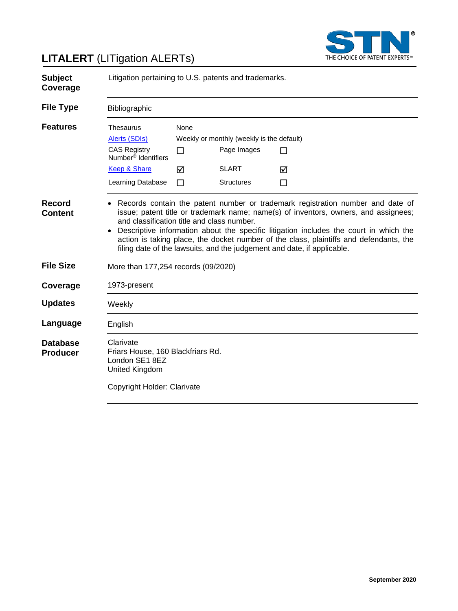

# **LITALERT** (LITigation ALERTs)

| <b>Subject</b><br>Coverage         | Litigation pertaining to U.S. patents and trademarks.                                                                                                                                                                                                                                                                                                                                                                                                                                          |                     |                                                                                               |             |
|------------------------------------|------------------------------------------------------------------------------------------------------------------------------------------------------------------------------------------------------------------------------------------------------------------------------------------------------------------------------------------------------------------------------------------------------------------------------------------------------------------------------------------------|---------------------|-----------------------------------------------------------------------------------------------|-------------|
| <b>File Type</b>                   | Bibliographic                                                                                                                                                                                                                                                                                                                                                                                                                                                                                  |                     |                                                                                               |             |
| <b>Features</b>                    | <b>Thesaurus</b><br>Alerts (SDIs)<br><b>CAS Registry</b><br>Number <sup>®</sup> Identifiers<br><b>Keep &amp; Share</b><br>Learning Database                                                                                                                                                                                                                                                                                                                                                    | None<br>П<br>☑<br>П | Weekly or monthly (weekly is the default)<br>Page Images<br><b>SLART</b><br><b>Structures</b> | П<br>⊠<br>П |
| Record<br><b>Content</b>           | Records contain the patent number or trademark registration number and date of<br>issue; patent title or trademark name; name(s) of inventors, owners, and assignees;<br>and classification title and class number.<br>Descriptive information about the specific litigation includes the court in which the<br>$\bullet$<br>action is taking place, the docket number of the class, plaintiffs and defendants, the<br>filing date of the lawsuits, and the judgement and date, if applicable. |                     |                                                                                               |             |
| <b>File Size</b>                   | More than 177,254 records (09/2020)                                                                                                                                                                                                                                                                                                                                                                                                                                                            |                     |                                                                                               |             |
| Coverage                           | 1973-present                                                                                                                                                                                                                                                                                                                                                                                                                                                                                   |                     |                                                                                               |             |
| <b>Updates</b>                     | Weekly                                                                                                                                                                                                                                                                                                                                                                                                                                                                                         |                     |                                                                                               |             |
| Language                           | English                                                                                                                                                                                                                                                                                                                                                                                                                                                                                        |                     |                                                                                               |             |
| <b>Database</b><br><b>Producer</b> | Clarivate<br>Friars House, 160 Blackfriars Rd.<br>London SE1 8EZ<br>United Kingdom<br>Copyright Holder: Clarivate                                                                                                                                                                                                                                                                                                                                                                              |                     |                                                                                               |             |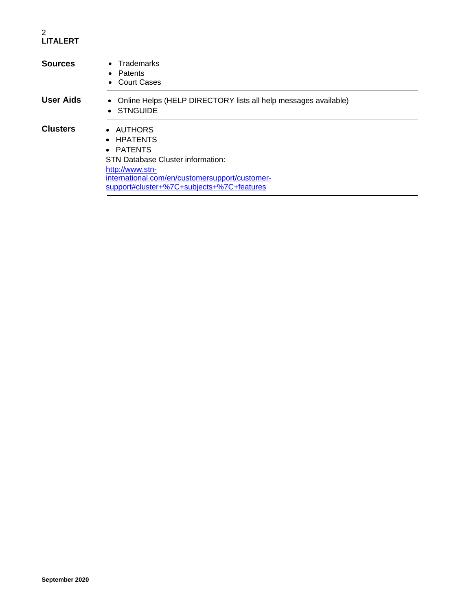#### 2 **LITALERT**

| <b>Sources</b>  | Trademarks<br>$\bullet$<br>Patents<br>$\bullet$<br>• Court Cases                                                                                                                                   |  |
|-----------------|----------------------------------------------------------------------------------------------------------------------------------------------------------------------------------------------------|--|
| User Aids       | • Online Helps (HELP DIRECTORY lists all help messages available)<br>• STNGUIDE                                                                                                                    |  |
| <b>Clusters</b> | • AUTHORS<br>• HPATENTS<br>• PATENTS<br><b>STN Database Cluster information:</b><br>http://www.stn-<br>international.com/en/customersupport/customer-<br>support#cluster+%7C+subjects+%7C+features |  |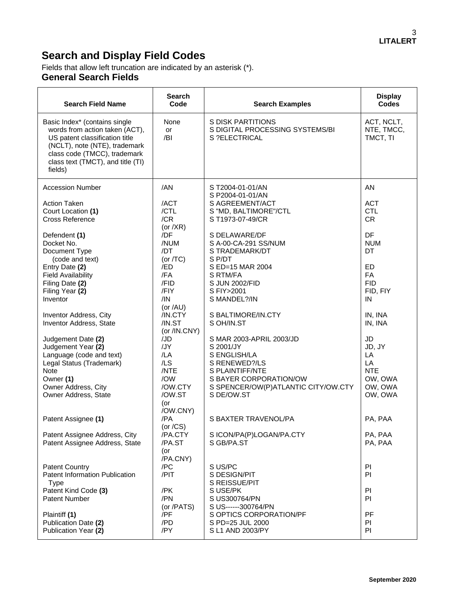# **Search and Display Field Codes**

Fields that allow left truncation are indicated by an asterisk (\*). **General Search Fields**

| <b>Search Field Name</b>                                                                                                                                                                                           | <b>Search</b><br>Code             | <b>Search Examples</b>                                                | <b>Display</b><br><b>Codes</b>        |
|--------------------------------------------------------------------------------------------------------------------------------------------------------------------------------------------------------------------|-----------------------------------|-----------------------------------------------------------------------|---------------------------------------|
| Basic Index* (contains single<br>words from action taken (ACT),<br>US patent classification title<br>(NCLT), note (NTE), trademark<br>class code (TMCC), trademark<br>class text (TMCT), and title (TI)<br>fields) | None<br>or<br>/BI                 | S DISK PARTITIONS<br>S DIGITAL PROCESSING SYSTEMS/BI<br>S ?ELECTRICAL | ACT, NCLT,<br>NTE, TMCC,<br>TMCT, TI  |
| <b>Accession Number</b>                                                                                                                                                                                            | /AN                               | ST2004-01-01/AN<br>S P2004-01-01/AN                                   | AN                                    |
| <b>Action Taken</b><br>Court Location (1)<br><b>Cross Reference</b>                                                                                                                                                | /ACT<br>/CTL<br>/CR               | S AGREEMENT/ACT<br>S "MD, BALTIMORE"/CTL<br>S T1973-07-49/CR          | <b>ACT</b><br><b>CTL</b><br><b>CR</b> |
| Defendent (1)<br>Docket No.<br>Document Type                                                                                                                                                                       | (or $/XR$ )<br>/DF<br>/NUM<br>/DT | S DELAWARE/DF<br>S A-00-CA-291 SS/NUM<br>S TRADEMARK/DT               | DF<br><b>NUM</b><br><b>DT</b>         |
| (code and text)<br>Entry Date (2)<br><b>Field Availability</b><br>Filing Date (2)                                                                                                                                  | (or $/TC$ )<br>/ED<br>/FA<br>/FID | S P/DT<br>S ED=15 MAR 2004<br>S RTM/FA<br>S JUN 2002/FID              | <b>ED</b><br>FA<br><b>FID</b>         |
| Filing Year (2)<br>Inventor                                                                                                                                                                                        | /FIY<br>/IN<br>(or $/AU$ )        | S FIY>2001<br>S MANDEL?/IN                                            | FID, FIY<br>IN                        |
| Inventor Address, City<br>Inventor Address, State                                                                                                                                                                  | /IN.CTY<br>/IN.ST<br>(or /IN.CNY) | S BALTIMORE/IN.CTY<br>S OH/IN.ST                                      | IN, INA<br>IN, INA                    |
| Judgement Date (2)<br>Judgement Year (2)<br>Language (code and text)                                                                                                                                               | /JD<br>/JY<br>/LA                 | S MAR 2003-APRIL 2003/JD<br>S 2001/JY<br>S ENGLISH/LA                 | <b>JD</b><br>JD, JY<br>LA             |
| Legal Status (Trademark)<br><b>Note</b><br>Owner (1)                                                                                                                                                               | /LS<br>/NTE<br>/OW                | S RENEWED?/LS<br>S PLAINTIFF/NTE<br>S BAYER CORPORATION/OW            | LA<br><b>NTE</b><br>OW, OWA           |
| Owner Address, City<br>Owner Address, State                                                                                                                                                                        | /OW.CTY<br>/OW.ST<br>(or          | S SPENCER/OW(P)ATLANTIC CITY/OW.CTY<br>S DE/OW.ST                     | OW, OWA<br>OW, OWA                    |
| Patent Assignee (1)                                                                                                                                                                                                | /OW.CNY)<br>/PA<br>(or $/CS$ )    | S BAXTER TRAVENOL/PA                                                  | PA, PAA                               |
| Patent Assignee Address, City<br>Patent Assignee Address, State                                                                                                                                                    | /PA.CTY<br>/PA.ST<br>(or          | S ICON/PA(P)LOGAN/PA.CTY<br>S GB/PA.ST                                | PA, PAA<br>PA, PAA                    |
| <b>Patent Country</b><br>Patent Information Publication<br><b>Type</b>                                                                                                                                             | /PA.CNY)<br>/PC<br>/PIT           | S US/PC<br>S DESIGN/PIT<br>S REISSUE/PIT                              | PI<br>PI                              |
| Patent Kind Code (3)<br>Patent Number                                                                                                                                                                              | /PK<br>/PN<br>(or /PATS)          | S USE/PK<br>S US300764/PN<br>S US------300764/PN                      | PI<br>PI                              |
| Plaintiff (1)<br>Publication Date (2)<br>Publication Year (2)                                                                                                                                                      | /PF<br>/PD<br>/PY                 | S OPTICS CORPORATION/PF<br>S PD=25 JUL 2000<br>S L1 AND 2003/PY       | PF<br>PI<br>PI                        |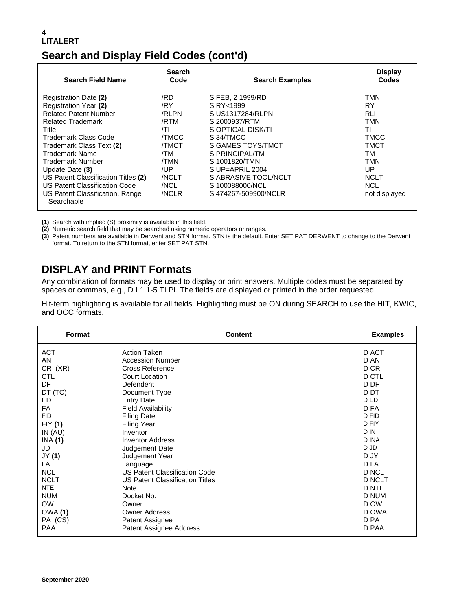#### 4 **LITALERT**

## **Search and Display Field Codes (cont'd)**

| <b>Search Field Name</b>                                                                                                                                                                                                                                                                                                                                  | <b>Search</b><br>Code                                                                                             | <b>Search Examples</b>                                                                                                                                                                                                                               | <b>Display</b><br>Codes                                                                                                                    |
|-----------------------------------------------------------------------------------------------------------------------------------------------------------------------------------------------------------------------------------------------------------------------------------------------------------------------------------------------------------|-------------------------------------------------------------------------------------------------------------------|------------------------------------------------------------------------------------------------------------------------------------------------------------------------------------------------------------------------------------------------------|--------------------------------------------------------------------------------------------------------------------------------------------|
| Registration Date (2)<br>Registration Year (2)<br><b>Related Patent Number</b><br><b>Related Trademark</b><br>Title<br>Trademark Class Code<br>Trademark Class Text (2)<br>Trademark Name<br>Trademark Number<br>Update Date (3)<br>US Patent Classification Titles (2)<br>US Patent Classification Code<br>US Patent Classification, Range<br>Searchable | /RD<br>/RY<br>/RLPN<br>/RTM<br>/TI<br><b>TMCC</b><br><b>/TMCT</b><br>/TM<br>/TMN<br>/UP<br>/NCLT<br>/NCL<br>/NCLR | S FEB, 2 1999/RD<br>S RY<1999<br>S US1317284/RLPN<br>S 2000937/RTM<br>S OPTICAL DISK/TI<br>S34/TMCC<br>S GAMES TOYS/TMCT<br>S PRINCIPAL/TM<br>S 1001820/TMN<br>$S UP = APRIL$ 2004<br>S ABRASIVE TOOL/NCLT<br>S 100088000/NCL<br>S474267-509900/NCLR | TMN<br><b>RY</b><br><b>RLI</b><br><b>TMN</b><br>ΤI<br><b>TMCC</b><br>TMCT<br>TM<br>TMN<br>UP<br><b>NCLT</b><br><b>NCL</b><br>not displayed |

**(1)** Search with implied (S) proximity is available in this field.

**(2)** Numeric search field that may be searched using numeric operators or ranges.

**(3)** Patent numbers are available in Derwent and STN format. STN is the default. Enter SET PAT DERWENT to change to the Derwent format. To return to the STN format, enter SET PAT STN.

## **DISPLAY and PRINT Formats**

Any combination of formats may be used to display or print answers. Multiple codes must be separated by spaces or commas, e.g., D L1 1-5 TI PI. The fields are displayed or printed in the order requested.

Hit-term highlighting is available for all fields. Highlighting must be ON during SEARCH to use the HIT, KWIC, and OCC formats.

| Format         | <b>Content</b>                       | <b>Examples</b> |
|----------------|--------------------------------------|-----------------|
| <b>ACT</b>     | <b>Action Taken</b>                  | D ACT           |
| <b>AN</b>      | <b>Accession Number</b>              | D AN            |
| CR (XR)        | <b>Cross Reference</b>               | D CR            |
| <b>CTL</b>     | <b>Court Location</b>                | D CTL           |
| DF             | Defendent                            | D DF            |
| DT (TC)        | Document Type                        | D DT            |
| ED             | <b>Entry Date</b>                    | D ED            |
| <b>FA</b>      | <b>Field Availability</b>            | D FA            |
| <b>FID</b>     | <b>Filing Date</b>                   | D FID           |
| FIY (1)        | <b>Filing Year</b>                   | D FIY           |
| IN(AU)         | Inventor                             | D IN            |
| INA (1)        | <b>Inventor Address</b>              | D INA           |
| JD             | Judgement Date                       | D JD            |
| JY (1)         | Judgement Year                       | D JY            |
| LA             | Language                             | D LA            |
| <b>NCL</b>     | <b>US Patent Classification Code</b> | D NCL           |
| <b>NCLT</b>    | US Patent Classification Titles      | D NCLT          |
| <b>NTE</b>     | <b>Note</b>                          | D NTE           |
| <b>NUM</b>     | Docket No.                           | D NUM           |
| <b>OW</b>      | Owner                                | D OW            |
| <b>OWA (1)</b> | <b>Owner Address</b>                 | D OWA           |
| PA (CS)        | Patent Assignee                      | D PA            |
| <b>PAA</b>     | Patent Assignee Address              | D PAA           |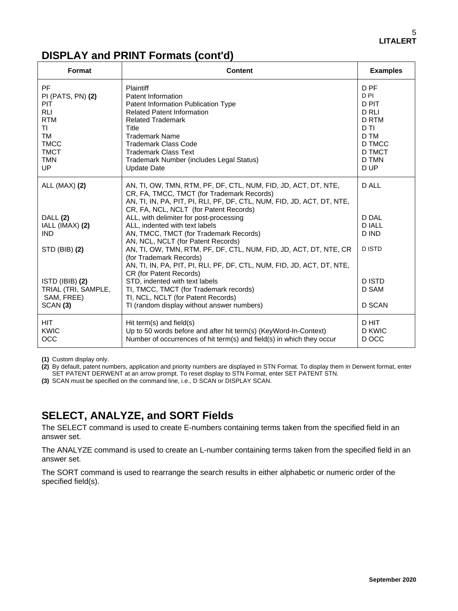## **DISPLAY and PRINT Formats (cont'd)**

| Format                                                                                                                          | <b>Content</b>                                                                                                                                                                                                                                                                                     | <b>Examples</b>                                                                                                           |
|---------------------------------------------------------------------------------------------------------------------------------|----------------------------------------------------------------------------------------------------------------------------------------------------------------------------------------------------------------------------------------------------------------------------------------------------|---------------------------------------------------------------------------------------------------------------------------|
| PF<br>PI (PATS, PN) (2)<br>PIT<br><b>RLI</b><br><b>RTM</b><br>ΤL<br><b>TM</b><br><b>TMCC</b><br><b>TMCT</b><br><b>TMN</b><br>UP | Plaintiff<br>Patent Information<br>Patent Information Publication Type<br><b>Related Patent Information</b><br><b>Related Trademark</b><br>Title<br><b>Trademark Name</b><br><b>Trademark Class Code</b><br><b>Trademark Class Text</b><br>Trademark Number (includes Legal Status)<br>Update Date | D <sub>PF</sub><br>D <sub>PI</sub><br>D PIT<br>D RLI<br><b>D RTM</b><br>D TI<br>D TM<br>D TMCC<br>D TMCT<br>D TMN<br>D UP |
| ALL (MAX) (2)                                                                                                                   | AN, TI, OW, TMN, RTM, PF, DF, CTL, NUM, FID, JD, ACT, DT, NTE,<br>CR, FA, TMCC, TMCT (for Trademark Records)<br>AN, TI, IN, PA, PIT, PI, RLI, PF, DF, CTL, NUM, FID, JD, ACT, DT, NTE,<br>CR, FA, NCL, NCLT (for Patent Records)                                                                   | D ALL<br>D DAL                                                                                                            |
| DALL (2)<br>IALL (IMAX) (2)<br><b>IND</b>                                                                                       | ALL, with delimiter for post-processing<br>ALL, indented with text labels<br>AN, TMCC, TMCT (for Trademark Records)                                                                                                                                                                                | <b>DIALL</b><br>D IND                                                                                                     |
| STD (BIB) (2)                                                                                                                   | AN, NCL, NCLT (for Patent Records)<br>AN, TI, OW, TMN, RTM, PF, DF, CTL, NUM, FID, JD, ACT, DT, NTE, CR<br>(for Trademark Records)<br>AN, TI, IN, PA, PIT, PI, RLI, PF, DF, CTL, NUM, FID, JD, ACT, DT, NTE,<br>CR (for Patent Records)                                                            | <b>DISTD</b>                                                                                                              |
| ISTD (IBIB) (2)<br>TRIAL (TRI, SAMPLE,<br>SAM, FREE)<br>SCAN <sub>(3)</sub>                                                     | STD, indented with text labels<br>TI, TMCC, TMCT (for Trademark records)<br>TI, NCL, NCLT (for Patent Records)<br>TI (random display without answer numbers)                                                                                                                                       | <b>DISTD</b><br>D SAM<br><b>D SCAN</b>                                                                                    |
| <b>HIT</b><br>KWIC<br>OCC                                                                                                       | Hit term(s) and field(s)<br>Up to 50 words before and after hit term(s) (KeyWord-In-Context)<br>Number of occurrences of hit term(s) and field(s) in which they occur                                                                                                                              | D HIT<br>D KWIC<br>D OCC                                                                                                  |

**(1)** Custom display only.

**(2)** By default, patent numbers, application and priority numbers are displayed in STN Format. To display them in Derwent format, enter SET PATENT DERWENT at an arrow prompt. To reset display to STN Format, enter SET PATENT STN.

**(3)** SCAN must be specified on the command line, i.e., D SCAN or DISPLAY SCAN.

### **SELECT, ANALYZE, and SORT Fields**

The SELECT command is used to create E-numbers containing terms taken from the specified field in an answer set.

The ANALYZE command is used to create an L-number containing terms taken from the specified field in an answer set.

The SORT command is used to rearrange the search results in either alphabetic or numeric order of the specified field(s).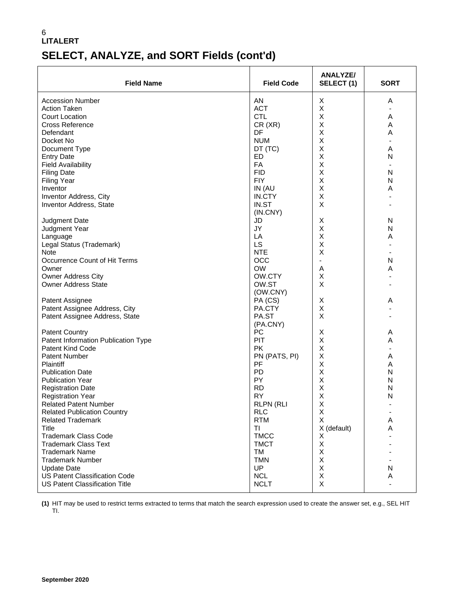#### 6 **LITALERT SELECT, ANALYZE, and SORT Fields (cont'd)**

| <b>Field Name</b>                     | <b>Field Code</b>   | <b>ANALYZE/</b><br>SELECT(1) | <b>SORT</b>    |
|---------------------------------------|---------------------|------------------------------|----------------|
| <b>Accession Number</b>               | AN                  | X                            | Α              |
| <b>Action Taken</b>                   | <b>ACT</b>          | X                            |                |
| <b>Court Location</b>                 | <b>CTL</b>          | Χ                            | Α              |
| <b>Cross Reference</b>                | CR(XR)              | X                            | Α              |
| Defendant                             | DF                  | X                            | A              |
| Docket No                             | <b>NUM</b>          | X                            |                |
| Document Type                         | DT (TC)             | X                            | A              |
| <b>Entry Date</b>                     | ED                  | X                            | N              |
| <b>Field Availability</b>             | FA                  | $\sf X$                      |                |
| <b>Filing Date</b>                    | <b>FID</b>          | Χ                            | N              |
| <b>Filing Year</b>                    | <b>FIY</b>          | X                            | N              |
| Inventor                              | IN (AU              | X                            | Α              |
| Inventor Address, City                | IN.CTY              | X                            |                |
| <b>Inventor Address, State</b>        | IN.ST<br>(IN.CNY)   | X                            |                |
| Judgment Date                         | JD                  | X                            | N              |
| Judgment Year                         | JY                  | X                            | N              |
| Language                              | LA                  | X                            | A              |
| Legal Status (Trademark)              | LS                  | X                            |                |
| Note                                  | <b>NTE</b>          | X                            |                |
| Occurrence Count of Hit Terms         | OCC                 | $\blacksquare$               | N              |
| Owner                                 | <b>OW</b>           | Α                            | A              |
| <b>Owner Address City</b>             | OW.CTY              | Χ                            |                |
| <b>Owner Address State</b>            | OW.ST<br>(OW.CNY)   | X                            |                |
| Patent Assignee                       | PA (CS)             | X                            | Α              |
| Patent Assignee Address, City         | PA.CTY              | Χ                            |                |
| Patent Assignee Address, State        | PA.ST               | X                            |                |
|                                       | (PA.CNY)            |                              |                |
| <b>Patent Country</b>                 | <b>PC</b>           | Х                            | Α              |
| Patent Information Publication Type   | PIT                 | Χ                            | A              |
| <b>Patent Kind Code</b>               | <b>PK</b>           | Χ<br>X                       | $\blacksquare$ |
| <b>Patent Number</b><br>Plaintiff     | PN (PATS, PI)<br>PF | X                            | Α<br>Α         |
| <b>Publication Date</b>               | PD                  | X                            | N              |
| <b>Publication Year</b>               | PY                  | Χ                            | N              |
| <b>Registration Date</b>              | <b>RD</b>           | X                            | N              |
| <b>Registration Year</b>              | <b>RY</b>           | X                            | N              |
| <b>Related Patent Number</b>          | <b>RLPN (RLI</b>    | X                            |                |
| <b>Related Publication Country</b>    | <b>RLC</b>          | X                            |                |
| <b>Related Trademark</b>              | <b>RTM</b>          | Χ                            | Α              |
| <b>Title</b>                          | <b>TI</b>           | X (default)                  | Α              |
| <b>Trademark Class Code</b>           | <b>TMCC</b>         | Х                            |                |
| <b>Trademark Class Text</b>           | <b>TMCT</b>         | X                            |                |
| <b>Trademark Name</b>                 | TM                  | Χ                            |                |
| <b>Trademark Number</b>               | <b>TMN</b>          | X                            |                |
| <b>Update Date</b>                    | <b>UP</b>           | Χ                            | N              |
| <b>US Patent Classification Code</b>  | <b>NCL</b>          | X                            | Α              |
| <b>US Patent Classification Title</b> | <b>NCLT</b>         | Χ                            |                |

**(1)** HIT may be used to restrict terms extracted to terms that match the search expression used to create the answer set, e.g., SEL HIT TI.